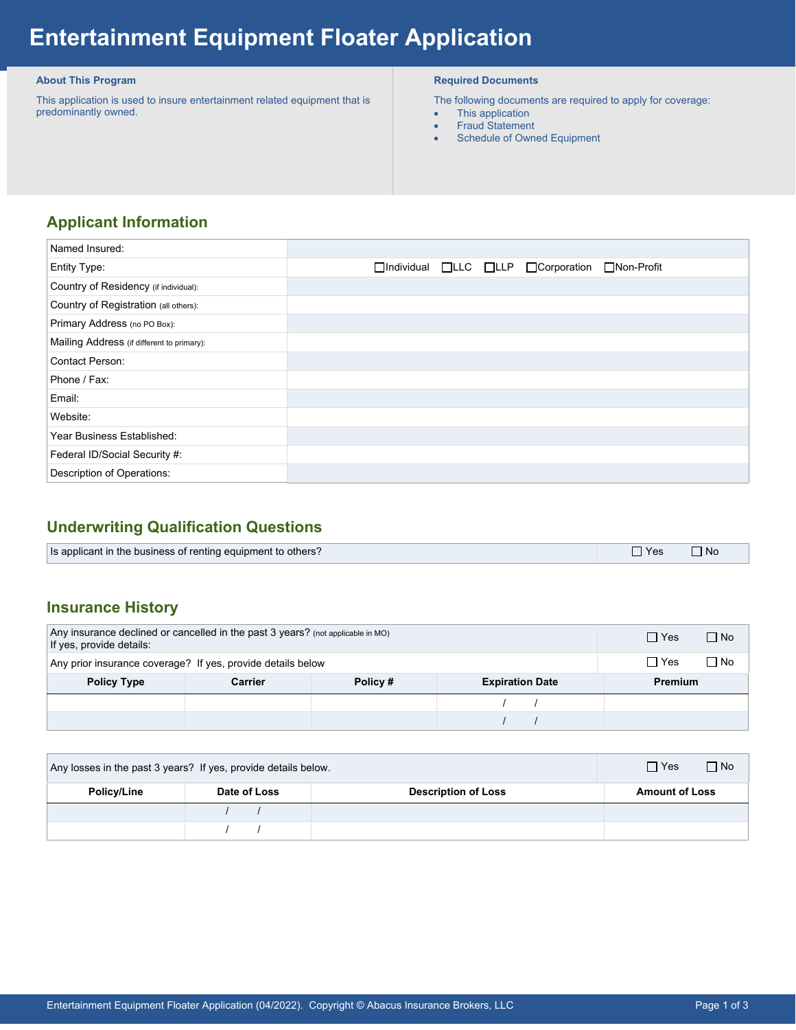# **Entertainment Equipment Floater Application**

#### **About This Program**

 This application is used to insure entertainment related equipment that is predominantly owned.

#### **Required Documents**

The following documents are required to apply for coverage:

- This application
- Fraud Statement
- Schedule of Owned Equipment

## **Applicant Information**

| Named Insured:                             |                                                         |
|--------------------------------------------|---------------------------------------------------------|
| Entity Type:                               | □Individual □LLC □LLP □Corporation<br>$\Box$ Non-Profit |
| Country of Residency (if individual):      |                                                         |
| Country of Registration (all others):      |                                                         |
| Primary Address (no PO Box):               |                                                         |
| Mailing Address (if different to primary): |                                                         |
| Contact Person:                            |                                                         |
| Phone / Fax:                               |                                                         |
| Email:                                     |                                                         |
| Website:                                   |                                                         |
| Year Business Established:                 |                                                         |
| Federal ID/Social Security #:              |                                                         |
| Description of Operations:                 |                                                         |

## **Underwriting Qualification Questions**

| Is applicant in the business of renting equipment to others? | Yes | <b>No</b> |
|--------------------------------------------------------------|-----|-----------|

### **Insurance History**

| Any insurance declined or cancelled in the past $3$ years? (not applicable in MO)<br>If yes, provide details: |         |         | $\Box$ No<br>$\Box$ Yes |         |
|---------------------------------------------------------------------------------------------------------------|---------|---------|-------------------------|---------|
| Any prior insurance coverage? If yes, provide details below                                                   |         |         | $\Box$ No<br>$\Box$ Yes |         |
| <b>Policy Type</b>                                                                                            | Carrier | Policy# | <b>Expiration Date</b>  | Premium |
|                                                                                                               |         |         |                         |         |
|                                                                                                               |         |         |                         |         |

| Any losses in the past 3 years? If yes, provide details below. |              |                            | $\Box$ Yes<br>$\Box$ No |  |
|----------------------------------------------------------------|--------------|----------------------------|-------------------------|--|
| Policy/Line                                                    | Date of Loss | <b>Description of Loss</b> | <b>Amount of Loss</b>   |  |
|                                                                |              |                            |                         |  |
|                                                                |              |                            |                         |  |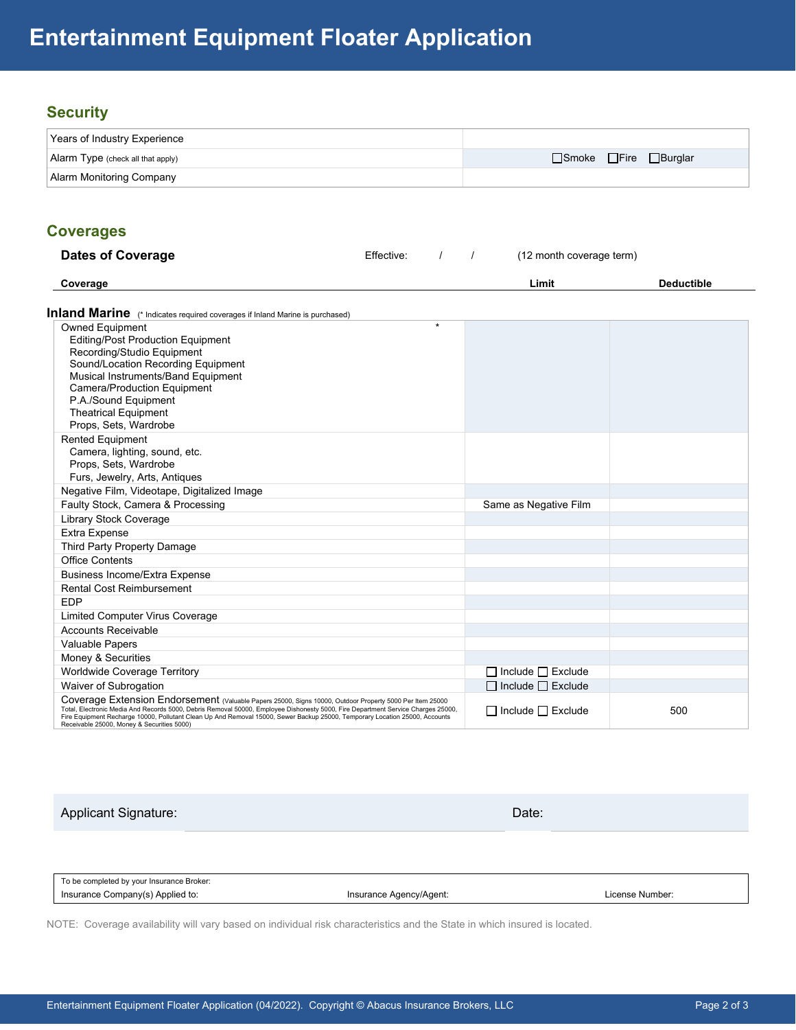## **Security**

| Years of Industry Experience              |                       |
|-------------------------------------------|-----------------------|
| $\vert$ Alarm Type (check all that apply) | □Smoke □Fire □Burglar |
| Alarm Monitoring Company                  |                       |

#### **Coverages**

| <b>COVETAGES</b>                                                                                                                                                                                                                                                                                                                                                                                                          |            |         |          |                               |                   |  |
|---------------------------------------------------------------------------------------------------------------------------------------------------------------------------------------------------------------------------------------------------------------------------------------------------------------------------------------------------------------------------------------------------------------------------|------------|---------|----------|-------------------------------|-------------------|--|
| <b>Dates of Coverage</b>                                                                                                                                                                                                                                                                                                                                                                                                  | Effective: |         | $\prime$ | (12 month coverage term)      |                   |  |
| Coverage                                                                                                                                                                                                                                                                                                                                                                                                                  |            |         |          | Limit                         | <b>Deductible</b> |  |
| Inland Marine (* Indicates required coverages if Inland Marine is purchased)                                                                                                                                                                                                                                                                                                                                              |            |         |          |                               |                   |  |
| <b>Owned Equipment</b><br><b>Editing/Post Production Equipment</b><br>Recording/Studio Equipment<br>Sound/Location Recording Equipment<br>Musical Instruments/Band Equipment<br><b>Camera/Production Equipment</b><br>P.A./Sound Equipment<br><b>Theatrical Equipment</b><br>Props, Sets, Wardrobe                                                                                                                        |            | $\star$ |          |                               |                   |  |
| <b>Rented Equipment</b><br>Camera, lighting, sound, etc.<br>Props, Sets, Wardrobe<br>Furs, Jewelry, Arts, Antiques                                                                                                                                                                                                                                                                                                        |            |         |          |                               |                   |  |
| Negative Film, Videotape, Digitalized Image                                                                                                                                                                                                                                                                                                                                                                               |            |         |          |                               |                   |  |
| Faulty Stock, Camera & Processing                                                                                                                                                                                                                                                                                                                                                                                         |            |         |          | Same as Negative Film         |                   |  |
| <b>Library Stock Coverage</b>                                                                                                                                                                                                                                                                                                                                                                                             |            |         |          |                               |                   |  |
| Extra Expense                                                                                                                                                                                                                                                                                                                                                                                                             |            |         |          |                               |                   |  |
| Third Party Property Damage                                                                                                                                                                                                                                                                                                                                                                                               |            |         |          |                               |                   |  |
| <b>Office Contents</b>                                                                                                                                                                                                                                                                                                                                                                                                    |            |         |          |                               |                   |  |
| <b>Business Income/Extra Expense</b>                                                                                                                                                                                                                                                                                                                                                                                      |            |         |          |                               |                   |  |
| Rental Cost Reimbursement                                                                                                                                                                                                                                                                                                                                                                                                 |            |         |          |                               |                   |  |
| <b>EDP</b>                                                                                                                                                                                                                                                                                                                                                                                                                |            |         |          |                               |                   |  |
| <b>Limited Computer Virus Coverage</b>                                                                                                                                                                                                                                                                                                                                                                                    |            |         |          |                               |                   |  |
| <b>Accounts Receivable</b>                                                                                                                                                                                                                                                                                                                                                                                                |            |         |          |                               |                   |  |
| <b>Valuable Papers</b>                                                                                                                                                                                                                                                                                                                                                                                                    |            |         |          |                               |                   |  |
| Money & Securities                                                                                                                                                                                                                                                                                                                                                                                                        |            |         |          |                               |                   |  |
| Worldwide Coverage Territory                                                                                                                                                                                                                                                                                                                                                                                              |            |         |          | $\Box$ Include $\Box$ Exclude |                   |  |
| Waiver of Subrogation                                                                                                                                                                                                                                                                                                                                                                                                     |            |         |          | $\Box$ Include $\Box$ Exclude |                   |  |
| Coverage Extension Endorsement (Valuable Papers 25000, Signs 10000, Outdoor Property 5000 Per Item 25000<br>Total, Electronic Media And Records 5000, Debris Removal 50000, Employee Dishonesty 5000, Fire Department Service Charges 25000,<br>Fire Equipment Recharge 10000, Pollutant Clean Up And Removal 15000, Sewer Backup 25000, Temporary Location 25000, Accounts<br>Receivable 25000, Money & Securities 5000) |            |         |          | $\Box$ Include $\Box$ Exclude | 500               |  |

Applicant Signature: Date: Date: Date: Date: Date: Date: Date: Date: Date: Date: Date: Date: Date: Date: Date: Date: Date: Date: Date: Date: Date: Date: Date: Date: Date: Date: Date: Date: Date: Date: Date: Date: Date: Dat

To be completed by your Insurance Broker: Insurance Company(s) Applied to: Insurance Agency/Agent: License Number:

NOTE: Coverage availability will vary based on individual risk characteristics and the State in which insured is located.